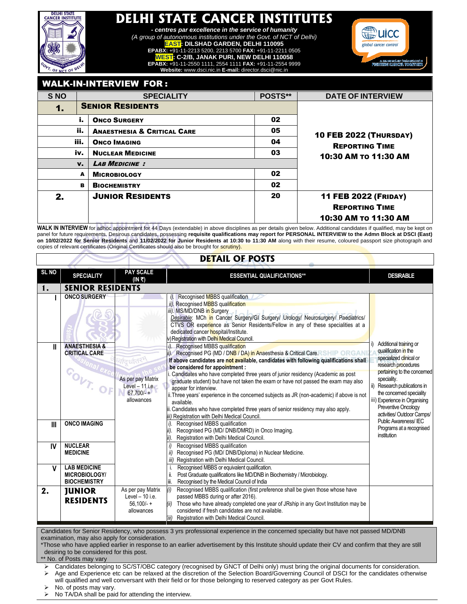

# **DELHI STATE CANCER INSTITUTES**

*- centres par excellence in the service of humanity (A group of autonomous institutions under the Govt. of NCT of Delhi)* **EAST: DILSHAD GARDEN, DELHI 110095 EPABX:** +91-11-2213 5200, 2213 5700 **FAX:** +91-11-2211 0505 **WEST: C-2/B, JANAK PURI, NEW DELHI 110058 EPABX:** +91-11-2550 1111, 2554 1111 **FAX:** +91-11-2554 9999 **Website:** www.dsci.nic.in **E-mail:** director.dsci@nic.in



#### WALK-IN-INTERVIEW FOR :

| S <sub>NO</sub>           |  | <b>SPECIALITY</b>                      | POSTS**                             | <b>DATE OF INTERVIEW</b>                      |  |
|---------------------------|--|----------------------------------------|-------------------------------------|-----------------------------------------------|--|
| 1.                        |  | <b>SENIOR RESIDENTS</b>                |                                     |                                               |  |
| i.<br><b>ONCO SURGERY</b> |  | 02                                     |                                     |                                               |  |
| ii.                       |  | <b>ANAESTHESIA &amp; CRITICAL CARE</b> | 05<br><b>10 FEB 2022 (THURSDAY)</b> |                                               |  |
| iii.                      |  | <b>ONCO IMAGING</b>                    | 04                                  | <b>REPORTING TIME</b><br>10:30 AM TO 11:30 AM |  |
| iv.                       |  | <b>NUCLEAR MEDICINE</b>                | 03                                  |                                               |  |
| v.                        |  | <b>LAB MEDICINE:</b>                   |                                     |                                               |  |
| A                         |  | <b>MICROBIOLOGY</b>                    | 02                                  |                                               |  |
| в<br><b>BIOCHEMISTRY</b>  |  | 02                                     |                                     |                                               |  |
| 2.                        |  | <b>JUNIOR RESIDENTS</b>                | 20                                  | <b>11 FEB 2022 (FRIDAY)</b>                   |  |
|                           |  |                                        |                                     | <b>REPORTING TIME</b>                         |  |
|                           |  |                                        |                                     | 10:30 AM TO 11:30 AM                          |  |

WALK IN INTERVIEW for adhoc appointment for 44 Days (extendable) in above disciplines as per details given below. Additional candidates if qualified, may be kept on panel for future requirements. Desirous candidates, possessing **requisite qualifications may report for PERSONAL INTERVIEW to the Admn Block at DSCI (East) on 10/02/2022 for Senior Residents** and **11/02/2022 for Junior Residents at 10:30 to 11:30 AM** along with their resume, coloured passport size photograph and copies of relevant certificates (Original Certificates should also be brought for scrutiny).

**DETAIL OF POSTS**

| <b>SL NO</b>   | <b>SPECIALITY</b>                                                  | <b>PAY SCALE</b><br>$(IN \bar{z})$                                                 | <b>ESSENTIAL QUALIFICATIONS**</b>                                                                                                                                                                                                                                                                                                                                                                                                                                                                                                                                                                                                                                                                   | <b>DESIRABLE</b>                                                                                                                                                                                                                                                                                 |  |  |  |  |
|----------------|--------------------------------------------------------------------|------------------------------------------------------------------------------------|-----------------------------------------------------------------------------------------------------------------------------------------------------------------------------------------------------------------------------------------------------------------------------------------------------------------------------------------------------------------------------------------------------------------------------------------------------------------------------------------------------------------------------------------------------------------------------------------------------------------------------------------------------------------------------------------------------|--------------------------------------------------------------------------------------------------------------------------------------------------------------------------------------------------------------------------------------------------------------------------------------------------|--|--|--|--|
| 1.             | <b>SENIOR RESIDENTS</b>                                            |                                                                                    |                                                                                                                                                                                                                                                                                                                                                                                                                                                                                                                                                                                                                                                                                                     |                                                                                                                                                                                                                                                                                                  |  |  |  |  |
|                | <b>ONCO SURGERY</b>                                                |                                                                                    | Recognised MBBS qualification<br>ii). Recognised MBBS qualification<br>iii). MS/MD/DNB in Surgery<br>Desirable: MCh in Cancer Surgery/GI Surgery/ Urology/ Neurosurgery/ Paediatrics/<br>CTVS OR experience as Senior Residents/Fellow in any of these specialities at a<br>dedicated cancer hospital/Institute.<br>iv) Registration with Delhi Medical Council.                                                                                                                                                                                                                                                                                                                                    |                                                                                                                                                                                                                                                                                                  |  |  |  |  |
| $\mathbf{I}$   | <b>ANAESTHESIA &amp;</b><br><b>CRITICAL CARE</b><br>COVT. OF       | म्बाहर्धतर<br>As per pay Matrix<br>$Level - 11$ i.e.<br>$67,700/- +$<br>allowances | <b>Recognised MBBS qualification</b><br>Recognised PG (MD / DNB / DA) in Anaesthesia & Critical Care. SHIP ORGANI<br>If above candidates are not available, candidates with following qualifications shall<br>be considered for appointment :<br>. Candidates who have completed three years of junior residency (Academic as post<br>graduate student) but have not taken the exam or have not passed the exam may also<br>appear for interview.<br>ii. Three years' experience in the concerned subjects as JR (non-academic) if above is not<br>available.<br>ii. Candidates who have completed three years of senior residency may also apply.<br>iii) Registration with Delhi Medical Council. | Additional training or<br>qualification in the<br>specialized clinical or<br>research procedures<br>pertaining to the concerned<br>speciality.<br>ii) Research publications in<br>the concerned speciality<br>iii) Experience in Organising<br>Preventive Oncology<br>activities/ Outdoor Camps/ |  |  |  |  |
| $\mathbf{III}$ | <b>ONCO IMAGING</b>                                                |                                                                                    | Recognised MBBS qualification<br>Recognised PG (MD/ DNB/DMRD) in Onco Imaging.<br>Registration with Delhi Medical Council.                                                                                                                                                                                                                                                                                                                                                                                                                                                                                                                                                                          | Public Awareness/ IEC<br>Programs at a recognised<br>institution                                                                                                                                                                                                                                 |  |  |  |  |
| IV             | <b>NUCLEAR</b><br><b>MEDICINE</b>                                  |                                                                                    | Recognised MBBS qualification<br>Recognised PG (MD/ DNB/Diploma) in Nuclear Medicine.<br>ii)<br>iii) Registration with Delhi Medical Council.                                                                                                                                                                                                                                                                                                                                                                                                                                                                                                                                                       |                                                                                                                                                                                                                                                                                                  |  |  |  |  |
| v              | <b>LAB MEDICINE</b><br><b>MICROBIOLOGY/</b><br><b>BIOCHEMISTRY</b> |                                                                                    | Recognised MBBS or equivalent qualification.<br>Post Graduate qualifications like MD/DNB in Biochemistry / Microbiology.<br>ii.<br>Recognised by the Medical Council of India                                                                                                                                                                                                                                                                                                                                                                                                                                                                                                                       |                                                                                                                                                                                                                                                                                                  |  |  |  |  |
| 2.             | <b>JUNIOR</b><br><b>RESIDENTS</b>                                  | As per pay Matrix<br>Level $-$ 10 i.e.<br>$56,100/- +$<br>allowances               | Recognised MBBS qualification (first preference shall be given those whose have<br>(i)<br>passed MBBS during or after 2016).<br>Those who have already completed one year of JRship in any Govt Institution may be<br>(ii)<br>considered if fresh candidates are not available.<br>(iii) Registration with Delhi Medical Council.                                                                                                                                                                                                                                                                                                                                                                   |                                                                                                                                                                                                                                                                                                  |  |  |  |  |

Candidates for Senior Residency, who possess 3 yrs professional experience in the concerned speciality but have not passed MD/DNB examination, may also apply for consideration.

\*Those who have applied earlier in response to an earlier advertisement by this Institute should update their CV and confirm that they are still desiring to be considered for this post.

\* No. of Posts may vary

➢ Candidates belonging to SC/ST/OBC category (recognised by GNCT of Delhi only) must bring the original documents for consideration. ➢ Age and Experience etc can be relaxed at the discretion of the Selection Board/Governing Council of DSCI for the candidates otherwise

will qualified and well conversant with their field or for those belonging to reserved category as per Govt Rules.

No. of posts may vary.

➢ No TA/DA shall be paid for attending the interview.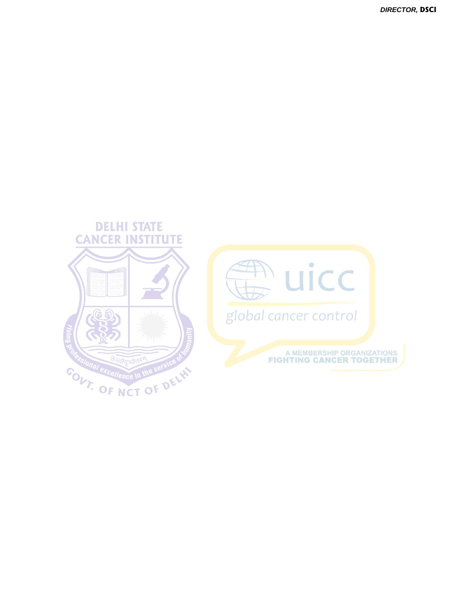*DIRECTOR,* **DSCI**

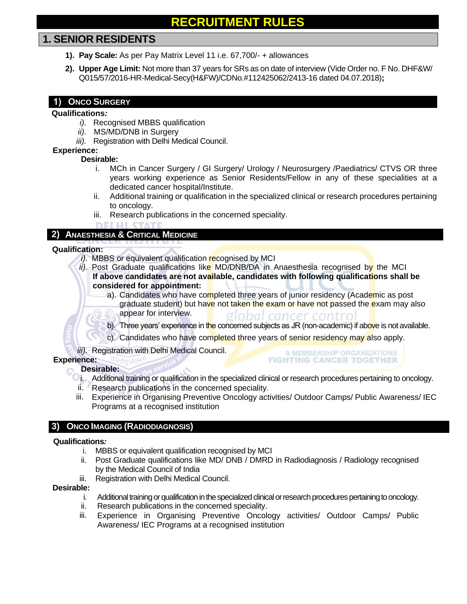# **RECRUITMENT RULES**

### **1. SENIOR RESIDENTS**

- **1). Pay Scale:** As per Pay Matrix Level 11 i.e. 67,700/- + allowances
- **2). Upper Age Limit:** Not more than 37 years for SRs as on date of interview (Vide Order no. F No. DHF&W/ Q015/57/2016-HR-Medical-Secy(H&FW)/CDNo.#112425062/2413-16 dated 04.07.2018)**;**

### **1) ONCO SURGERY**

#### **Qualifications***:*

- *i).* Recognised MBBS qualification
- *ii).* MS/MD/DNB in Surgery
- *iii).* Registration with Delhi Medical Council.

#### **Experience:**

#### **Desirable:**

- i. MCh in Cancer Surgery / GI Surgery/ Urology / Neurosurgery /Paediatrics/ CTVS OR three years working experience as Senior Residents/Fellow in any of these specialities at a dedicated cancer hospital/Institute.
- ii. Additional training or qualification in the specialized clinical or research procedures pertaining to oncology.
- iii. Research publications in the concerned speciality.

### **2) ANAESTHESIA & CRITICAL MEDICINE**

### **Qualification:**

- *i).* MBBS or equivalent qualification recognised by MCI
- *ii).* Post Graduate qualifications like MD/DNB/DA in Anaesthesia recognised by the MCI **If above candidates are not available, candidates with following qualifications shall be considered for appointment:** 
	- a). Candidates who have completed three years of junior residency (Academic as post graduate student) but have not taken the exam or have not passed the exam may also appear for interview. global cancer control
	- b). Three years' experience in the concerned subjects as JR (non-academic) if above is not available.
	- c). Candidates who have completed three years of senior residency may also apply.

*iii).* Registration with Delhi Medical Council.

#### A MEMBERSHIP ORGANIZATIONS **FIGHTING CANCER TOGETHER**

#### **Experience: Desirable:**

C

- i. Additional training or qualification in the specialized clinical or research procedures pertaining to oncology. ii. Research publications in the concerned speciality.
- iii. Experience in Organising Preventive Oncology activities/ Outdoor Camps/ Public Awareness/ IEC Programs at a recognised institution

### **3) ONCO IMAGING (RADIODIAGNOSIS)**

#### **Qualifications***:*

- i. MBBS or equivalent qualification recognised by MCI
- ii. Post Graduate qualifications like MD/ DNB / DMRD in Radiodiagnosis / Radiology recognised by the Medical Council of India
- iii. Registration with Delhi Medical Council.

#### **Desirable:**

- i. Additional training or qualification in the specialized clinical or research procedures pertaining to oncology.
- ii. Research publications in the concerned speciality.
- iii. Experience in Organising Preventive Oncology activities/ Outdoor Camps/ Public Awareness/ IEC Programs at a recognised institution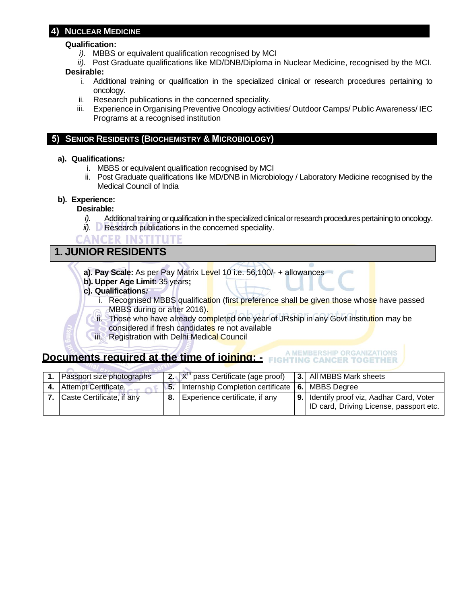### **4) NUCLEAR MEDICINE**

#### **Qualification:**

*i).* MBBS or equivalent qualification recognised by MCI

*ii).* Post Graduate qualifications like MD/DNB/Diploma in Nuclear Medicine, recognised by the MCI. **Desirable:**

- i. Additional training or qualification in the specialized clinical or research procedures pertaining to oncology.
- ii. Research publications in the concerned speciality.
- iii. Experience in Organising Preventive Oncology activities/ Outdoor Camps/ Public Awareness/ IEC Programs at a recognised institution

### **5) SENIOR RESIDENTS (BIOCHEMISTRY & MICROBIOLOGY)**

#### **a). Qualifications***:*

- i. MBBS or equivalent qualification recognised by MCI
- ii. Post Graduate qualifications like MD/DNB in Microbiology / Laboratory Medicine recognised by the Medical Council of India

#### **b). Experience:**

#### **Desirable:**

- *i).* Additional training or qualification in the specialized clinical or research procedures pertaining to oncology.
- *ii).* Research publications in the concerned speciality.

## **1. JUNIOR RESIDENTS**

- **a). Pay Scale:** As per Pay Matrix Level 10 i.e. 56,100/- + allowances
- **b). Upper Age Limit:** 35 years**;**
- **c). Qualifications***:*
	- i. Recognised MBBS qualification (first preference shall be given those whose have passed MBBS during or after 2016).
	- ii. Those who have already completed one year of JRship in any Govt Institution may be
		- considered if fresh candidates re not available
	- iii. Registration with Delhi Medical Council

#### A MEMBERSHIP ORGANIZATIONS **Documents required at the time of joining: -**

| 1. Passport size photographs | 2. $X^{th}$ pass Certificate (age proof)                | 3. All MBBS Mark sheets                                                              |
|------------------------------|---------------------------------------------------------|--------------------------------------------------------------------------------------|
| 4. Attempt Certificate.      | 5. Internship Completion certificate   6.   MBBS Degree |                                                                                      |
| 7. Caste Certificate, if any | 8. Experience certificate, if any                       | 9. Identify proof viz, Aadhar Card, Voter<br>ID card, Driving License, passport etc. |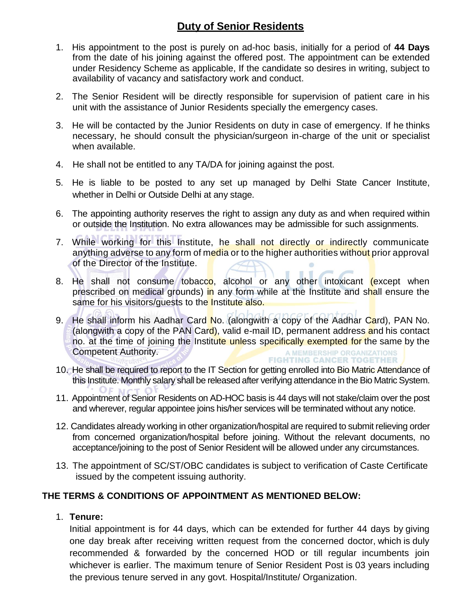# **Duty of Senior Residents**

- 1. His appointment to the post is purely on ad-hoc basis, initially for a period of **44 Days** from the date of his joining against the offered post. The appointment can be extended under Residency Scheme as applicable, If the candidate so desires in writing, subject to availability of vacancy and satisfactory work and conduct.
- 2. The Senior Resident will be directly responsible for supervision of patient care in his unit with the assistance of Junior Residents specially the emergency cases.
- 3. He will be contacted by the Junior Residents on duty in case of emergency. If he thinks necessary, he should consult the physician/surgeon in-charge of the unit or specialist when available.
- 4. He shall not be entitled to any TA/DA for joining against the post.
- 5. He is liable to be posted to any set up managed by Delhi State Cancer Institute, whether in Delhi or Outside Delhi at any stage.
- 6. The appointing authority reserves the right to assign any duty as and when required within or outside the Institution. No extra allowances may be admissible for such assignments.
- 7. While working for this Institute, he shall not directly or indirectly communicate anything adverse to any form of media or to the higher authorities without prior approval of the Director of the Institute.
- 8. He shall not consume tobacco, alcohol or any other intoxicant (except when prescribed on medical grounds) in any form while at the Institute and shall ensure the same for his visitors/quests to the Institute also.
- 9. He shall inform his Aadhar Card No. (alongwith a copy of the Aadhar Card), PAN No. (alongwith a copy of the PAN Card), valid e-mail ID, permanent address and his contact no. at the time of joining the Institute unless specifically exempted for the same by the Competent Authority. A MEMBERSHIP ORGANIZATIONS **FIGHTING CANCER TOGETHER**
- 10. He shall be required to report to the IT Section for getting enrolled into Bio Matric Attendance of this Institute. Monthly salary shall be released after verifying attendance in the Bio Matric System.
- 11. Appointment of Senior Residents on AD-HOC basis is 44 days will not stake/claim over the post and wherever, regular appointee joins his/her services will be terminated without any notice.
- 12. Candidates already working in other organization/hospital are required to submit relieving order from concerned organization/hospital before joining. Without the relevant documents, no acceptance/joining to the post of Senior Resident will be allowed under any circumstances.
- 13. The appointment of SC/ST/OBC candidates is subject to verification of Caste Certificate issued by the competent issuing authority.

### **THE TERMS & CONDITIONS OF APPOINTMENT AS MENTIONED BELOW:**

### 1. **Tenure:**

Initial appointment is for 44 days, which can be extended for further 44 days by giving one day break after receiving written request from the concerned doctor, which is duly recommended & forwarded by the concerned HOD or till regular incumbents join whichever is earlier. The maximum tenure of Senior Resident Post is 03 years including the previous tenure served in any govt. Hospital/Institute/ Organization.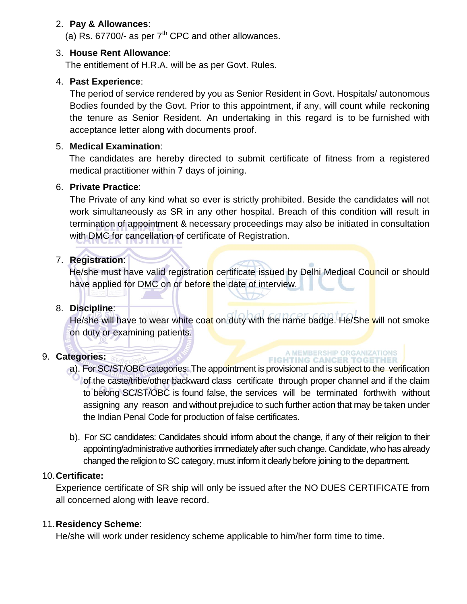### 2. **Pay & Allowances**:

(a) Rs. 67700/- as per  $7<sup>th</sup>$  CPC and other allowances.

### 3. **House Rent Allowance**:

The entitlement of H.R.A. will be as per Govt. Rules.

### 4. **Past Experience**:

The period of service rendered by you as Senior Resident in Govt. Hospitals/ autonomous Bodies founded by the Govt. Prior to this appointment, if any, will count while reckoning the tenure as Senior Resident. An undertaking in this regard is to be furnished with acceptance letter along with documents proof.

### 5. **Medical Examination**:

The candidates are hereby directed to submit certificate of fitness from a registered medical practitioner within 7 days of joining.

### 6. **Private Practice**:

The Private of any kind what so ever is strictly prohibited. Beside the candidates will not work simultaneously as SR in any other hospital. Breach of this condition will result in termination of appointment & necessary proceedings may also be initiated in consultation with DMC for cancellation of certificate of Registration.

### 7. **Registration**:

He/she must have valid registration certificate issued by Delhi Medical Council or should have applied for DMC on or before the date of interview.

### 8. **Discipline**:

He/she will have to wear white coat on duty with the name badge. He/She will not smoke on duty or examining patients.

### 9. **Categories:**

# **FIGHTING CANCER TOGETHER**

- a). For SC/ST/OBC categories: The appointment is provisional and is subject to the verification of the caste/tribe/other backward class certificate through proper channel and if the claim to belong SC/ST/OBC is found false, the services will be terminated forthwith without assigning any reason and without prejudice to such further action that may be taken under the Indian Penal Code for production of false certificates.
- b). For SC candidates: Candidates should inform about the change, if any of their religion to their appointing/administrative authorities immediately after such change. Candidate, who has already changed the religion to SC category, must inform it clearly before joining to the department.

### 10.**Certificate:**

Experience certificate of SR ship will only be issued after the NO DUES CERTIFICATE from all concerned along with leave record.

### 11.**Residency Scheme**:

He/she will work under residency scheme applicable to him/her form time to time.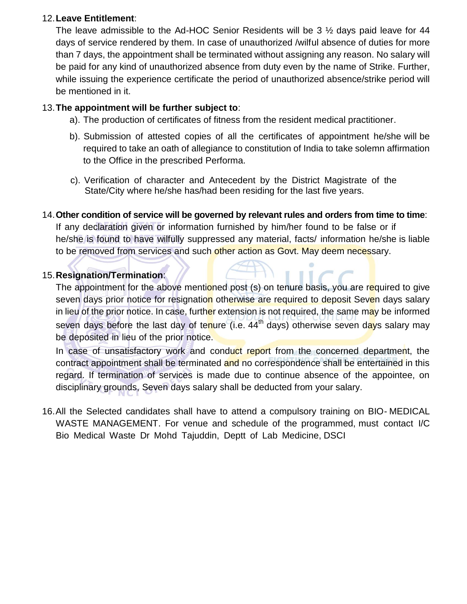### 12.**Leave Entitlement**:

The leave admissible to the Ad-HOC Senior Residents will be 3 ½ days paid leave for 44 days of service rendered by them. In case of unauthorized /wilful absence of duties for more than 7 days, the appointment shall be terminated without assigning any reason. No salary will be paid for any kind of unauthorized absence from duty even by the name of Strike. Further, while issuing the experience certificate the period of unauthorized absence/strike period will be mentioned in it.

### 13.**The appointment will be further subject to**:

- a). The production of certificates of fitness from the resident medical practitioner.
- b). Submission of attested copies of all the certificates of appointment he/she will be required to take an oath of allegiance to constitution of India to take solemn affirmation to the Office in the prescribed Performa.
- c). Verification of character and Antecedent by the District Magistrate of the State/City where he/she has/had been residing for the last five years.
- 14.**Other condition of service will be governed by relevant rules and orders from time to time**: If any declaration given or information furnished by him/her found to be false or if he/she is found to have wilfully suppressed any material, facts/ information he/she is liable to be removed from services and such other action as Govt. May deem necessary.

### 15.**Resignation/Termination**:

The appointment for the above mentioned post (s) on tenure basis, you are required to give seven days prior notice for resignation otherwise are required to deposit Seven days salary in lieu of the prior notice. In case, further extension is not required, the same may be informed seven days before the last day of te<mark>n</mark>ure (i.e. 44<sup>th</sup> days) otherwise seven days salary may be deposited in lieu of the prior notice.

In case of unsatisfactory work and conduct report from the concerned department, the contract appointment shall be terminated and no correspondence shall be entertained in this regard. If termination of services is made due to continue absence of the appointee, on disciplinary grounds, Seven days salary shall be deducted from your salary.

16.All the Selected candidates shall have to attend a compulsory training on BIO- MEDICAL WASTE MANAGEMENT. For venue and schedule of the programmed, must contact I/C Bio Medical Waste Dr Mohd Tajuddin, Deptt of Lab Medicine, DSCI